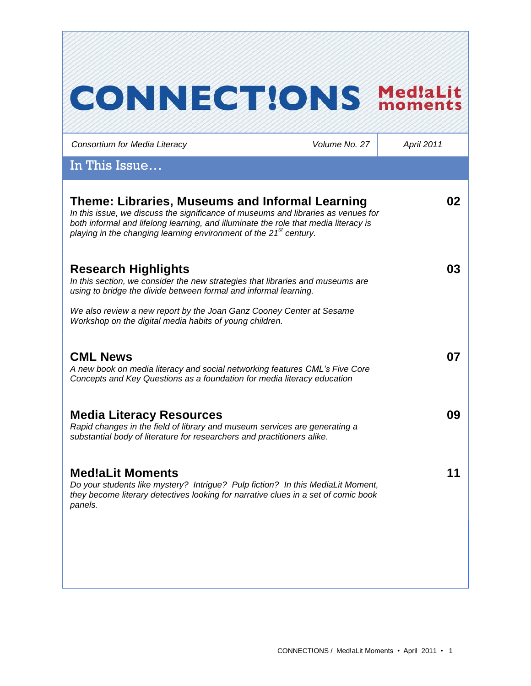| <b>CONNECT!ONS</b>                                                                                                                                                                                                                                                                                           |               | Med!aLit<br>moments |
|--------------------------------------------------------------------------------------------------------------------------------------------------------------------------------------------------------------------------------------------------------------------------------------------------------------|---------------|---------------------|
| Consortium for Media Literacy                                                                                                                                                                                                                                                                                | Volume No. 27 | April 2011          |
| In This Issue                                                                                                                                                                                                                                                                                                |               |                     |
| Theme: Libraries, Museums and Informal Learning<br>In this issue, we discuss the significance of museums and libraries as venues for<br>both informal and lifelong learning, and illuminate the role that media literacy is<br>playing in the changing learning environment of the 21 <sup>st</sup> century. |               | 02                  |
| <b>Research Highlights</b><br>In this section, we consider the new strategies that libraries and museums are<br>using to bridge the divide between formal and informal learning.                                                                                                                             |               | 03                  |
| We also review a new report by the Joan Ganz Cooney Center at Sesame<br>Workshop on the digital media habits of young children.                                                                                                                                                                              |               |                     |
| <b>CML News</b><br>A new book on media literacy and social networking features CML's Five Core<br>Concepts and Key Questions as a foundation for media literacy education                                                                                                                                    |               | 07                  |
| <b>Media Literacy Resources</b><br>Rapid changes in the field of library and museum services are generating a<br>substantial body of literature for researchers and practitioners alike.                                                                                                                     |               | 09                  |
| <b>Med!aLit Moments</b><br>Do your students like mystery? Intrigue? Pulp fiction? In this MediaLit Moment,<br>they become literary detectives looking for narrative clues in a set of comic book<br>panels.                                                                                                  |               | 11                  |
|                                                                                                                                                                                                                                                                                                              |               |                     |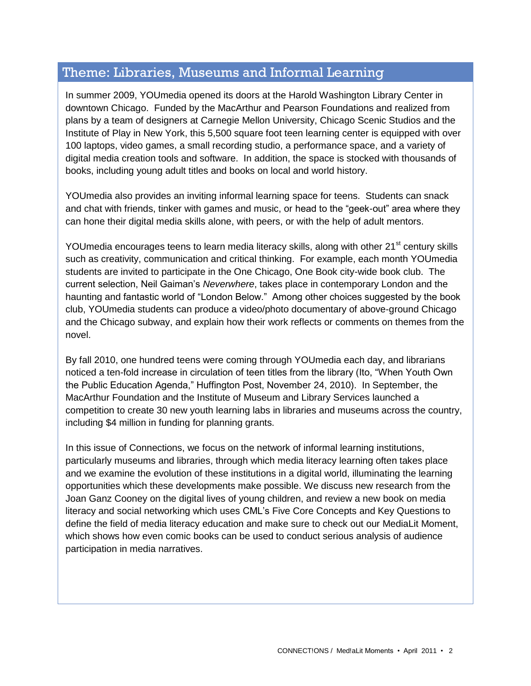## Theme: Libraries, Museums and Informal Learning

In summer 2009, YOUmedia opened its doors at the Harold Washington Library Center in downtown Chicago. Funded by the MacArthur and Pearson Foundations and realized from plans by a team of designers at Carnegie Mellon University, Chicago Scenic Studios and the Institute of Play in New York, this 5,500 square foot teen learning center is equipped with over 100 laptops, video games, a small recording studio, a performance space, and a variety of digital media creation tools and software. In addition, the space is stocked with thousands of books, including young adult titles and books on local and world history.

YOUmedia also provides an inviting informal learning space for teens. Students can snack and chat with friends, tinker with games and music, or head to the "geek-out" area where they can hone their digital media skills alone, with peers, or with the help of adult mentors.

YOU media encourages teens to learn media literacy skills, along with other 21<sup>st</sup> century skills such as creativity, communication and critical thinking. For example, each month YOUmedia students are invited to participate in the One Chicago, One Book city-wide book club. The current selection, Neil Gaiman's *Neverwhere*, takes place in contemporary London and the haunting and fantastic world of "London Below." Among other choices suggested by the book club, YOUmedia students can produce a video/photo documentary of above-ground Chicago and the Chicago subway, and explain how their work reflects or comments on themes from the novel.

By fall 2010, one hundred teens were coming through YOUmedia each day, and librarians noticed a ten-fold increase in circulation of teen titles from the library (Ito, "When Youth Own the Public Education Agenda," Huffington Post, November 24, 2010). In September, the MacArthur Foundation and the Institute of Museum and Library Services launched a competition to create 30 new youth learning labs in libraries and museums across the country, including \$4 million in funding for planning grants.

In this issue of Connections, we focus on the network of informal learning institutions, particularly museums and libraries, through which media literacy learning often takes place and we examine the evolution of these institutions in a digital world, illuminating the learning opportunities which these developments make possible. We discuss new research from the Joan Ganz Cooney on the digital lives of young children, and review a new book on media literacy and social networking which uses CML's Five Core Concepts and Key Questions to define the field of media literacy education and make sure to check out our MediaLit Moment, which shows how even comic books can be used to conduct serious analysis of audience participation in media narratives.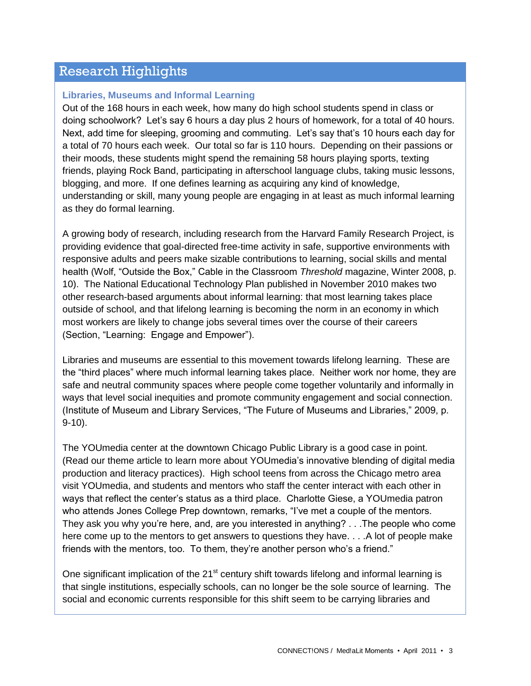### Research Highlights

#### **Libraries, Museums and Informal Learning**

Out of the 168 hours in each week, how many do high school students spend in class or doing schoolwork? Let's say 6 hours a day plus 2 hours of homework, for a total of 40 hours. Next, add time for sleeping, grooming and commuting. Let's say that's 10 hours each day for a total of 70 hours each week. Our total so far is 110 hours. Depending on their passions or their moods, these students might spend the remaining 58 hours playing sports, texting friends, playing Rock Band, participating in afterschool language clubs, taking music lessons, blogging, and more. If one defines learning as acquiring any kind of knowledge, understanding or skill, many young people are engaging in at least as much informal learning as they do formal learning.

A growing body of research, including research from the Harvard Family Research Project, is providing evidence that goal-directed free-time activity in safe, supportive environments with responsive adults and peers make sizable contributions to learning, social skills and mental health (Wolf, "Outside the Box," Cable in the Classroom *Threshold* magazine, Winter 2008, p. 10). The National Educational Technology Plan published in November 2010 makes two other research-based arguments about informal learning: that most learning takes place outside of school, and that lifelong learning is becoming the norm in an economy in which most workers are likely to change jobs several times over the course of their careers (Section, "Learning: Engage and Empower").

Libraries and museums are essential to this movement towards lifelong learning. These are the "third places" where much informal learning takes place. Neither work nor home, they are safe and neutral community spaces where people come together voluntarily and informally in ways that level social inequities and promote community engagement and social connection. (Institute of Museum and Library Services, "The Future of Museums and Libraries," 2009, p. 9-10).

The YOUmedia center at the downtown Chicago Public Library is a good case in point. (Read our theme article to learn more about YOUmedia's innovative blending of digital media production and literacy practices). High school teens from across the Chicago metro area visit YOUmedia, and students and mentors who staff the center interact with each other in ways that reflect the center's status as a third place. Charlotte Giese, a YOUmedia patron who attends Jones College Prep downtown, remarks, "I've met a couple of the mentors. They ask you why you're here, and, are you interested in anything? . . .The people who come here come up to the mentors to get answers to questions they have. . . . A lot of people make friends with the mentors, too. To them, they're another person who's a friend."

One significant implication of the 21<sup>st</sup> century shift towards lifelong and informal learning is that single institutions, especially schools, can no longer be the sole source of learning. The social and economic currents responsible for this shift seem to be carrying libraries and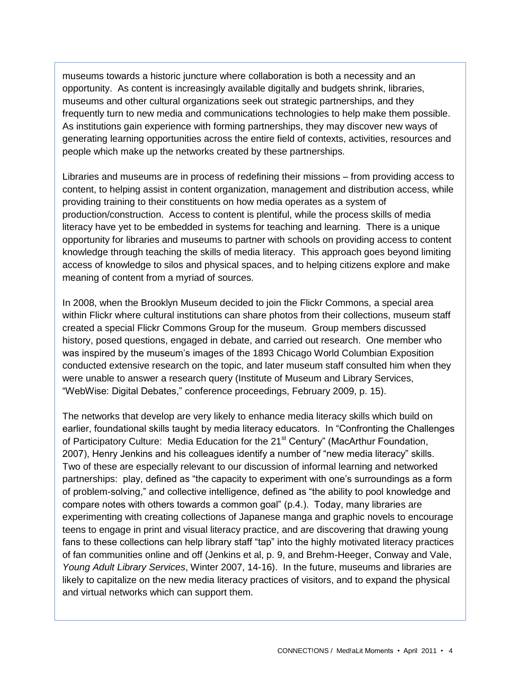museums towards a historic juncture where collaboration is both a necessity and an opportunity. As content is increasingly available digitally and budgets shrink, libraries, museums and other cultural organizations seek out strategic partnerships, and they frequently turn to new media and communications technologies to help make them possible. As institutions gain experience with forming partnerships, they may discover new ways of generating learning opportunities across the entire field of contexts, activities, resources and people which make up the networks created by these partnerships.

Libraries and museums are in process of redefining their missions – from providing access to content, to helping assist in content organization, management and distribution access, while providing training to their constituents on how media operates as a system of production/construction. Access to content is plentiful, while the process skills of media literacy have yet to be embedded in systems for teaching and learning. There is a unique opportunity for libraries and museums to partner with schools on providing access to content knowledge through teaching the skills of media literacy. This approach goes beyond limiting access of knowledge to silos and physical spaces, and to helping citizens explore and make meaning of content from a myriad of sources.

In 2008, when the Brooklyn Museum decided to join the Flickr Commons, a special area within Flickr where cultural institutions can share photos from their collections, museum staff created a special Flickr Commons Group for the museum. Group members discussed history, posed questions, engaged in debate, and carried out research. One member who was inspired by the museum's images of the 1893 Chicago World Columbian Exposition conducted extensive research on the topic, and later museum staff consulted him when they were unable to answer a research query (Institute of Museum and Library Services, ―WebWise: Digital Debates,‖ conference proceedings, February 2009, p. 15).

The networks that develop are very likely to enhance media literacy skills which build on earlier, foundational skills taught by media literacy educators. In "Confronting the Challenges of Participatory Culture: Media Education for the 21<sup>st</sup> Century" (MacArthur Foundation, 2007), Henry Jenkins and his colleagues identify a number of "new media literacy" skills. Two of these are especially relevant to our discussion of informal learning and networked partnerships: play, defined as "the capacity to experiment with one's surroundings as a form of problem-solving," and collective intelligence, defined as "the ability to pool knowledge and compare notes with others towards a common goal" (p.4.). Today, many libraries are experimenting with creating collections of Japanese manga and graphic novels to encourage teens to engage in print and visual literacy practice, and are discovering that drawing young fans to these collections can help library staff "tap" into the highly motivated literacy practices of fan communities online and off (Jenkins et al, p. 9, and Brehm-Heeger, Conway and Vale, *Young Adult Library Services*, Winter 2007, 14-16). In the future, museums and libraries are likely to capitalize on the new media literacy practices of visitors, and to expand the physical and virtual networks which can support them.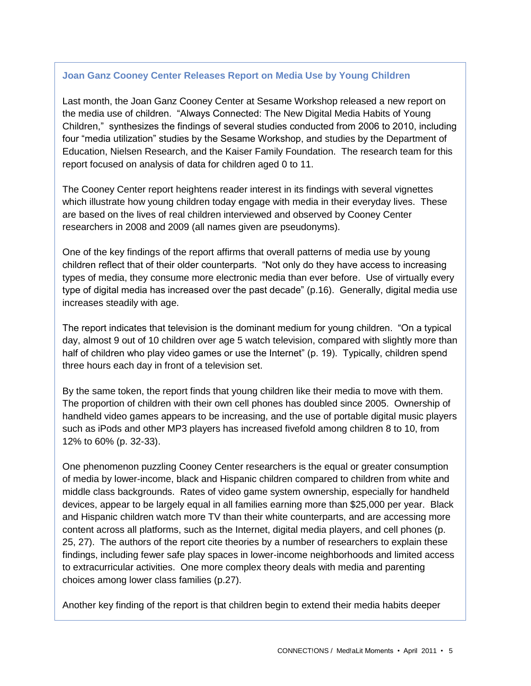#### **Joan Ganz Cooney Center Releases Report on Media Use by Young Children**

Last month, the Joan Ganz Cooney Center at Sesame Workshop released a new report on the media use of children. "Always Connected: The New Digital Media Habits of Young Children," synthesizes the findings of several studies conducted from 2006 to 2010, including four "media utilization" studies by the Sesame Workshop, and studies by the Department of Education, Nielsen Research, and the Kaiser Family Foundation. The research team for this report focused on analysis of data for children aged 0 to 11.

The Cooney Center report heightens reader interest in its findings with several vignettes which illustrate how young children today engage with media in their everyday lives. These are based on the lives of real children interviewed and observed by Cooney Center researchers in 2008 and 2009 (all names given are pseudonyms).

One of the key findings of the report affirms that overall patterns of media use by young children reflect that of their older counterparts. "Not only do they have access to increasing types of media, they consume more electronic media than ever before. Use of virtually every type of digital media has increased over the past decade" (p.16). Generally, digital media use increases steadily with age.

The report indicates that television is the dominant medium for young children. "On a typical day, almost 9 out of 10 children over age 5 watch television, compared with slightly more than half of children who play video games or use the Internet" (p. 19). Typically, children spend three hours each day in front of a television set.

By the same token, the report finds that young children like their media to move with them. The proportion of children with their own cell phones has doubled since 2005. Ownership of handheld video games appears to be increasing, and the use of portable digital music players such as iPods and other MP3 players has increased fivefold among children 8 to 10, from 12% to 60% (p. 32-33).

One phenomenon puzzling Cooney Center researchers is the equal or greater consumption of media by lower-income, black and Hispanic children compared to children from white and middle class backgrounds. Rates of video game system ownership, especially for handheld devices, appear to be largely equal in all families earning more than \$25,000 per year. Black and Hispanic children watch more TV than their white counterparts, and are accessing more content across all platforms, such as the Internet, digital media players, and cell phones (p. 25, 27). The authors of the report cite theories by a number of researchers to explain these findings, including fewer safe play spaces in lower-income neighborhoods and limited access to extracurricular activities. One more complex theory deals with media and parenting choices among lower class families (p.27).

Another key finding of the report is that children begin to extend their media habits deeper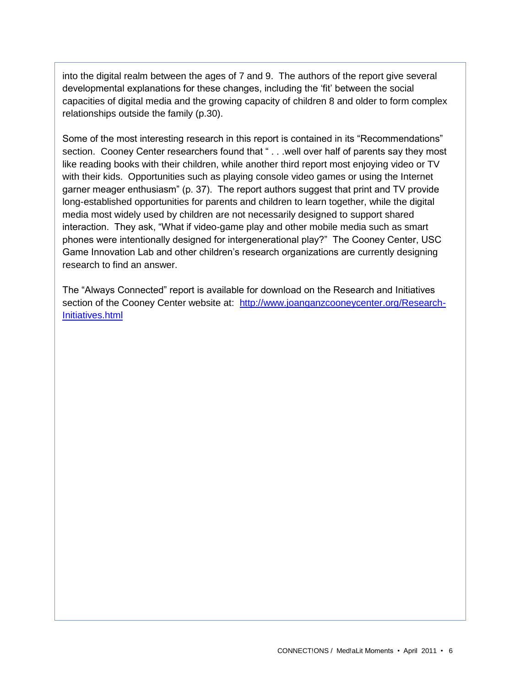into the digital realm between the ages of 7 and 9. The authors of the report give several developmental explanations for these changes, including the ‗fit' between the social capacities of digital media and the growing capacity of children 8 and older to form complex relationships outside the family (p.30).

Some of the most interesting research in this report is contained in its "Recommendations" section. Cooney Center researchers found that "... well over half of parents say they most like reading books with their children, while another third report most enjoying video or TV with their kids. Opportunities such as playing console video games or using the Internet garner meager enthusiasm" (p. 37). The report authors suggest that print and TV provide long-established opportunities for parents and children to learn together, while the digital media most widely used by children are not necessarily designed to support shared interaction. They ask, "What if video-game play and other mobile media such as smart phones were intentionally designed for intergenerational play?" The Cooney Center, USC Game Innovation Lab and other children's research organizations are currently designing research to find an answer.

The "Always Connected" report is available for download on the Research and Initiatives section of the Cooney Center website at: [http://www.joanganzcooneycenter.org/Research-](http://www.joanganzcooneycenter.org/Research-Initiatives.html)[Initiatives.html](http://www.joanganzcooneycenter.org/Research-Initiatives.html)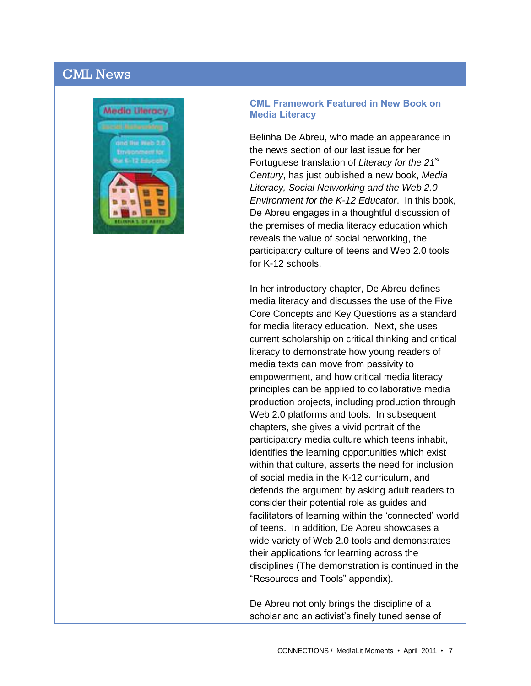## CML News



#### **CML Framework Featured in New Book on Media Literacy**

Belinha De Abreu, who made an appearance in the news section of our last issue for her Portuguese translation of *Literacy for the 21st Century*, has just published a new book, *Media Literacy, Social Networking and the Web 2.0 Environment for the K-12 Educator*. In this book, De Abreu engages in a thoughtful discussion of the premises of media literacy education which reveals the value of social networking, the participatory culture of teens and Web 2.0 tools for K-12 schools.

In her introductory chapter, De Abreu defines media literacy and discusses the use of the Five Core Concepts and Key Questions as a standard for media literacy education. Next, she uses current scholarship on critical thinking and critical literacy to demonstrate how young readers of media texts can move from passivity to empowerment, and how critical media literacy principles can be applied to collaborative media production projects, including production through Web 2.0 platforms and tools. In subsequent chapters, she gives a vivid portrait of the participatory media culture which teens inhabit, identifies the learning opportunities which exist within that culture, asserts the need for inclusion of social media in the K-12 curriculum, and defends the argument by asking adult readers to consider their potential role as guides and facilitators of learning within the 'connected' world of teens. In addition, De Abreu showcases a wide variety of Web 2.0 tools and demonstrates their applications for learning across the disciplines (The demonstration is continued in the "Resources and Tools" appendix).

De Abreu not only brings the discipline of a scholar and an activist's finely tuned sense of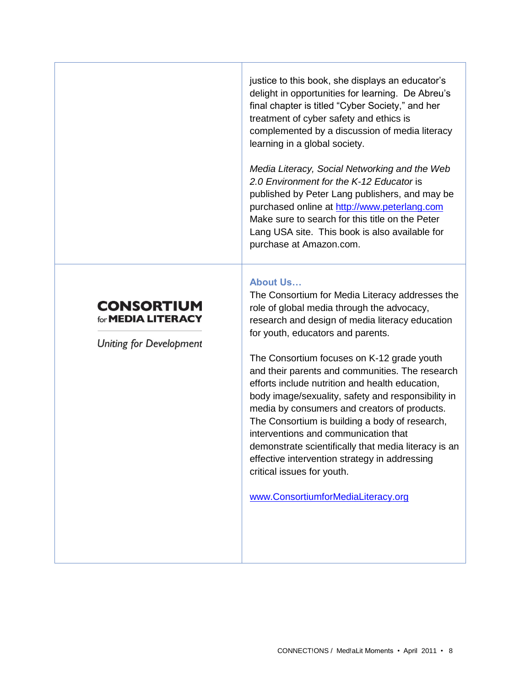|                                                                                  | justice to this book, she displays an educator's<br>delight in opportunities for learning. De Abreu's<br>final chapter is titled "Cyber Society," and her<br>treatment of cyber safety and ethics is<br>complemented by a discussion of media literacy<br>learning in a global society.<br>Media Literacy, Social Networking and the Web<br>2.0 Environment for the K-12 Educator is<br>published by Peter Lang publishers, and may be<br>purchased online at http://www.peterlang.com<br>Make sure to search for this title on the Peter<br>Lang USA site. This book is also available for<br>purchase at Amazon.com.                                                                                                                    |
|----------------------------------------------------------------------------------|-------------------------------------------------------------------------------------------------------------------------------------------------------------------------------------------------------------------------------------------------------------------------------------------------------------------------------------------------------------------------------------------------------------------------------------------------------------------------------------------------------------------------------------------------------------------------------------------------------------------------------------------------------------------------------------------------------------------------------------------|
| <b>CONSORTIUM</b><br>for <b>MEDIA LITERACY</b><br><b>Uniting for Development</b> | <b>About Us</b><br>The Consortium for Media Literacy addresses the<br>role of global media through the advocacy,<br>research and design of media literacy education<br>for youth, educators and parents.<br>The Consortium focuses on K-12 grade youth<br>and their parents and communities. The research<br>efforts include nutrition and health education,<br>body image/sexuality, safety and responsibility in<br>media by consumers and creators of products.<br>The Consortium is building a body of research,<br>interventions and communication that<br>demonstrate scientifically that media literacy is an<br>effective intervention strategy in addressing<br>critical issues for youth.<br>www.ConsortiumforMediaLiteracy.org |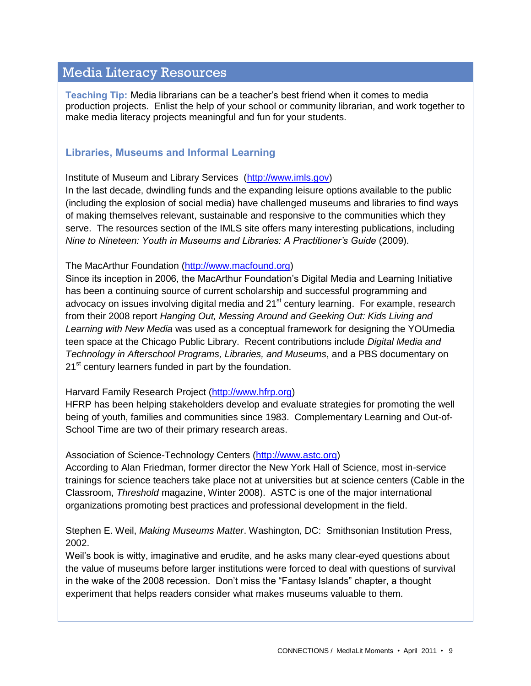### Media Literacy Resources

**Teaching Tip:** Media librarians can be a teacher's best friend when it comes to media production projects. Enlist the help of your school or community librarian, and work together to make media literacy projects meaningful and fun for your students.

### **Libraries, Museums and Informal Learning**

Institute of Museum and Library Services [\(http://www.imls.gov\)](http://www.imls.gov/)

In the last decade, dwindling funds and the expanding leisure options available to the public (including the explosion of social media) have challenged museums and libraries to find ways of making themselves relevant, sustainable and responsive to the communities which they serve. The resources section of the IMLS site offers many interesting publications, including *Nine to Nineteen: Youth in Museums and Libraries: A Practitioner's Guide* (2009).

#### The MacArthur Foundation [\(http://www.macfound.org\)](http://www.macfound.org/)

Since its inception in 2006, the MacArthur Foundation's Digital Media and Learning Initiative has been a continuing source of current scholarship and successful programming and advocacy on issues involving digital media and  $21<sup>st</sup>$  century learning. For example, research from their 2008 report *Hanging Out, Messing Around and Geeking Out: Kids Living and Learning with New Media* was used as a conceptual framework for designing the YOUmedia teen space at the Chicago Public Library. Recent contributions include *Digital Media and Technology in Afterschool Programs, Libraries, and Museums*, and a PBS documentary on 21<sup>st</sup> century learners funded in part by the foundation.

#### Harvard Family Research Project [\(http://www.hfrp.org\)](http://www.hfrp.org/)

HFRP has been helping stakeholders develop and evaluate strategies for promoting the well being of youth, families and communities since 1983. Complementary Learning and Out-of-School Time are two of their primary research areas.

#### Association of Science-Technology Centers [\(http://www.astc.org\)](http://www.astc.org/)

According to Alan Friedman, former director the New York Hall of Science, most in-service trainings for science teachers take place not at universities but at science centers (Cable in the Classroom, *Threshold* magazine, Winter 2008). ASTC is one of the major international organizations promoting best practices and professional development in the field.

Stephen E. Weil, *Making Museums Matter*. Washington, DC: Smithsonian Institution Press, 2002.

Weil's book is witty, imaginative and erudite, and he asks many clear-eyed questions about the value of museums before larger institutions were forced to deal with questions of survival in the wake of the 2008 recession. Don't miss the "Fantasy Islands" chapter, a thought experiment that helps readers consider what makes museums valuable to them.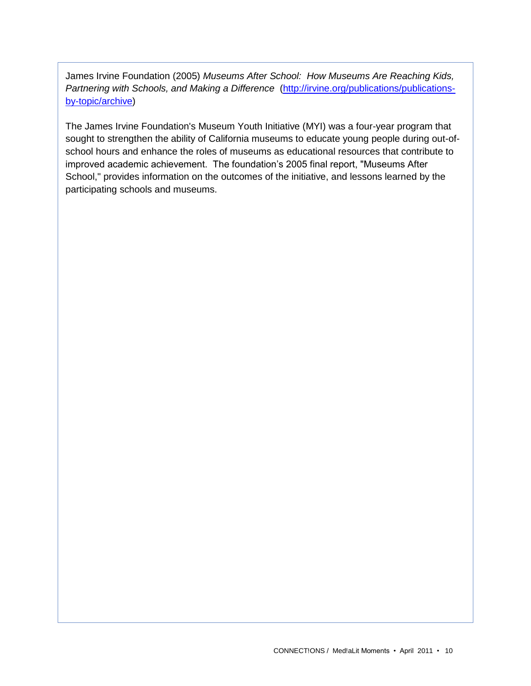James Irvine Foundation (2005) *Museums After School: How Museums Are Reaching Kids, Partnering with Schools, and Making a Difference* [\(http://irvine.org/publications/publications](http://irvine.org/publications/publications-by-topic/archive)[by-topic/archive\)](http://irvine.org/publications/publications-by-topic/archive)

The James Irvine Foundation's Museum Youth Initiative (MYI) was a four-year program that sought to strengthen the ability of California museums to educate young people during out-ofschool hours and enhance the roles of museums as educational resources that contribute to improved academic achievement. The foundation's 2005 final report, "Museums After School," provides information on the outcomes of the initiative, and lessons learned by the participating schools and museums.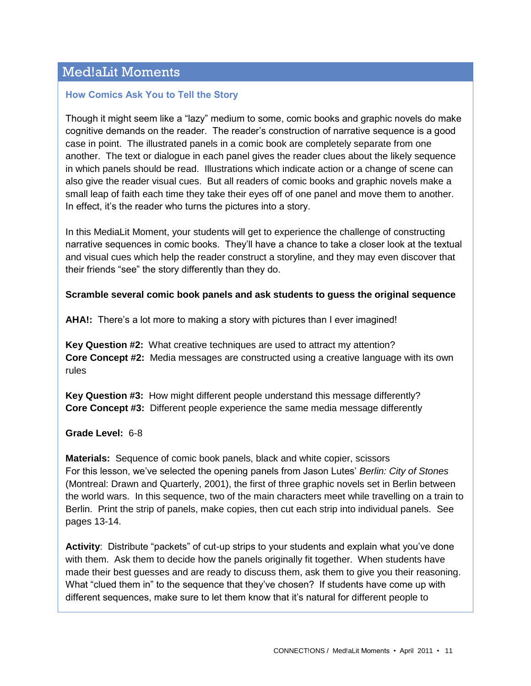# Med!aLit Moments

#### **How Comics Ask You to Tell the Story**

Though it might seem like a "lazy" medium to some, comic books and graphic novels do make cognitive demands on the reader. The reader's construction of narrative sequence is a good case in point. The illustrated panels in a comic book are completely separate from one another. The text or dialogue in each panel gives the reader clues about the likely sequence in which panels should be read. Illustrations which indicate action or a change of scene can also give the reader visual cues. But all readers of comic books and graphic novels make a small leap of faith each time they take their eyes off of one panel and move them to another. In effect, it's the reader who turns the pictures into a story.

In this MediaLit Moment, your students will get to experience the challenge of constructing narrative sequences in comic books. They'll have a chance to take a closer look at the textual and visual cues which help the reader construct a storyline, and they may even discover that their friends "see" the story differently than they do.

#### **Scramble several comic book panels and ask students to guess the original sequence**

**AHA!:** There's a lot more to making a story with pictures than I ever imagined!

**Key Question #2:** What creative techniques are used to attract my attention? **Core Concept #2:** Media messages are constructed using a creative language with its own rules

**Key Question #3:** How might different people understand this message differently? **Core Concept #3:** Different people experience the same media message differently

#### **Grade Level:** 6-8

**Materials:** Sequence of comic book panels, black and white copier, scissors For this lesson, we've selected the opening panels from Jason Lutes' *Berlin: City of Stones*  (Montreal: Drawn and Quarterly, 2001), the first of three graphic novels set in Berlin between the world wars. In this sequence, two of the main characters meet while travelling on a train to Berlin. Print the strip of panels, make copies, then cut each strip into individual panels. See pages 13-14.

**Activity:** Distribute "packets" of cut-up strips to your students and explain what you've done with them. Ask them to decide how the panels originally fit together. When students have made their best guesses and are ready to discuss them, ask them to give you their reasoning. What "clued them in" to the sequence that they've chosen? If students have come up with different sequences, make sure to let them know that it's natural for different people to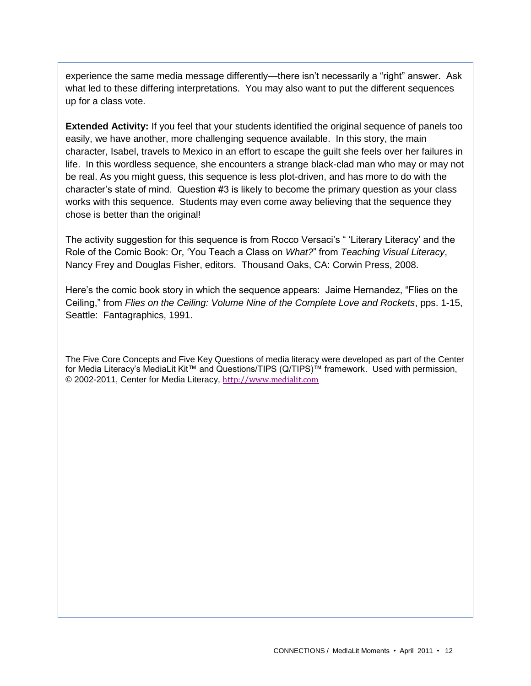experience the same media message differently—there isn't necessarily a "right" answer. Ask what led to these differing interpretations. You may also want to put the different sequences up for a class vote.

**Extended Activity:** If you feel that your students identified the original sequence of panels too easily, we have another, more challenging sequence available. In this story, the main character, Isabel, travels to Mexico in an effort to escape the guilt she feels over her failures in life. In this wordless sequence, she encounters a strange black-clad man who may or may not be real. As you might guess, this sequence is less plot-driven, and has more to do with the character's state of mind. Question #3 is likely to become the primary question as your class works with this sequence. Students may even come away believing that the sequence they chose is better than the original!

The activity suggestion for this sequence is from Rocco Versaci's "Literary Literacy' and the Role of the Comic Book: Or, ‗You Teach a Class on *What?*‖ from *Teaching Visual Literacy*, Nancy Frey and Douglas Fisher, editors. Thousand Oaks, CA: Corwin Press, 2008.

Here's the comic book story in which the sequence appears: Jaime Hernandez, "Flies on the Ceiling,‖ from *Flies on the Ceiling: Volume Nine of the Complete Love and Rockets*, pps. 1-15, Seattle: Fantagraphics, 1991.

The Five Core Concepts and Five Key Questions of media literacy were developed as part of the Center for Media Literacy's MediaLit Kit™ and Questions/TIPS (Q/TIPS)™ framework. Used with permission, © 2002-2011, Center for Media Literacy, [http://www.medialit.com](http://www.medialit.com/)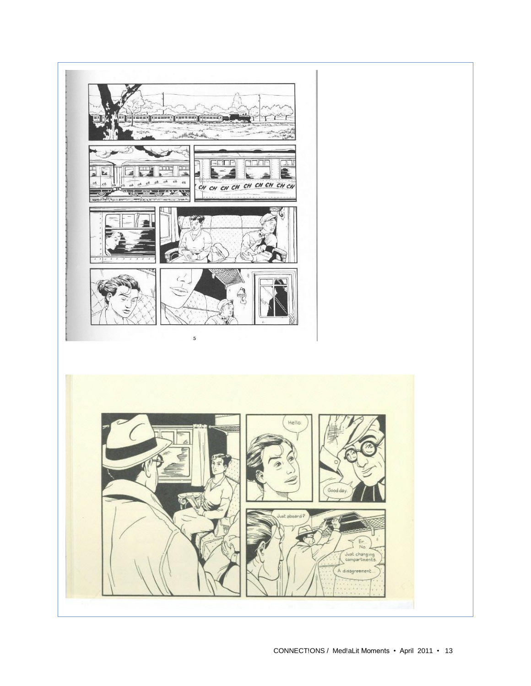